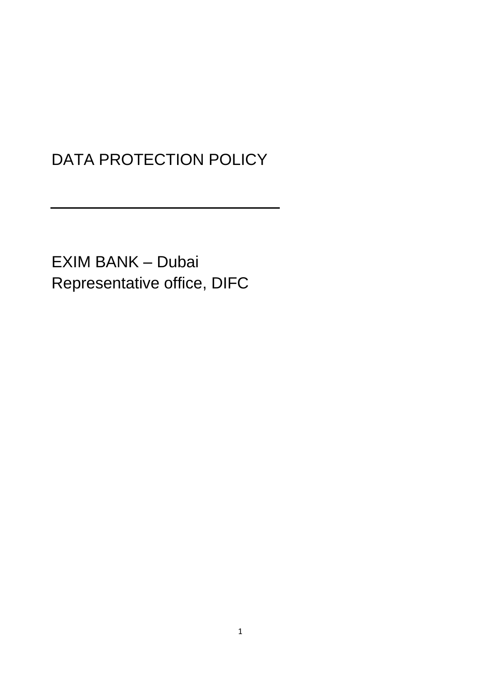# DATA PROTECTION POLICY

EXIM BANK – Dubai Representative office, DIFC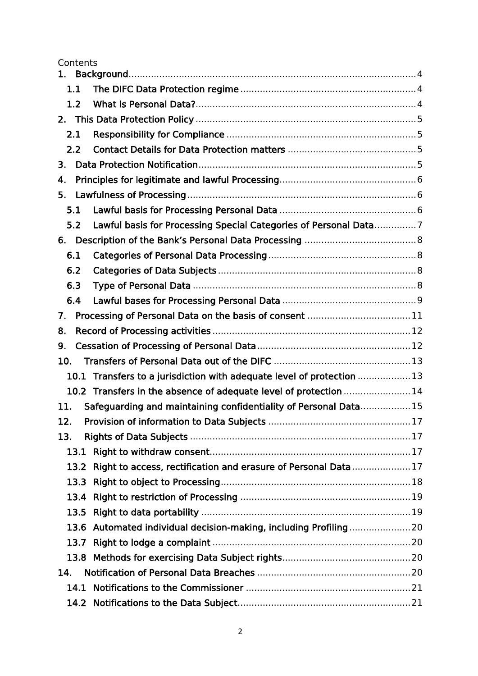Contents

|      | 1.1                                                                     |  |  |
|------|-------------------------------------------------------------------------|--|--|
|      | 1.2                                                                     |  |  |
|      |                                                                         |  |  |
|      | 2.1                                                                     |  |  |
|      | 2.2                                                                     |  |  |
| 3.   |                                                                         |  |  |
| 4.   |                                                                         |  |  |
| 5.   |                                                                         |  |  |
| 5.1  |                                                                         |  |  |
|      | Lawful basis for Processing Special Categories of Personal Data7<br>5.2 |  |  |
| 6.   |                                                                         |  |  |
| 6.1  |                                                                         |  |  |
|      | 6.2                                                                     |  |  |
|      | 6.3                                                                     |  |  |
|      | 6.4                                                                     |  |  |
| 7.   | Processing of Personal Data on the basis of consent 11                  |  |  |
| 8.   |                                                                         |  |  |
| 9.   |                                                                         |  |  |
| 10.  |                                                                         |  |  |
|      | 10.1 Transfers to a jurisdiction with adequate level of protection 13   |  |  |
|      | 10.2 Transfers in the absence of adequate level of protection 14        |  |  |
| 11.  | Safeguarding and maintaining confidentiality of Personal Data15         |  |  |
| 12.  |                                                                         |  |  |
| 13.  |                                                                         |  |  |
|      | 13.1                                                                    |  |  |
|      | Right to access, rectification and erasure of Personal Data17<br>13.2   |  |  |
|      | 13.3                                                                    |  |  |
|      | 13.4                                                                    |  |  |
|      | 13.5                                                                    |  |  |
|      | 13.6 Automated individual decision-making, including Profiling20        |  |  |
| 13.7 |                                                                         |  |  |
|      | 13.8                                                                    |  |  |
| 14.  |                                                                         |  |  |
|      | 14.1                                                                    |  |  |
|      | 14.2                                                                    |  |  |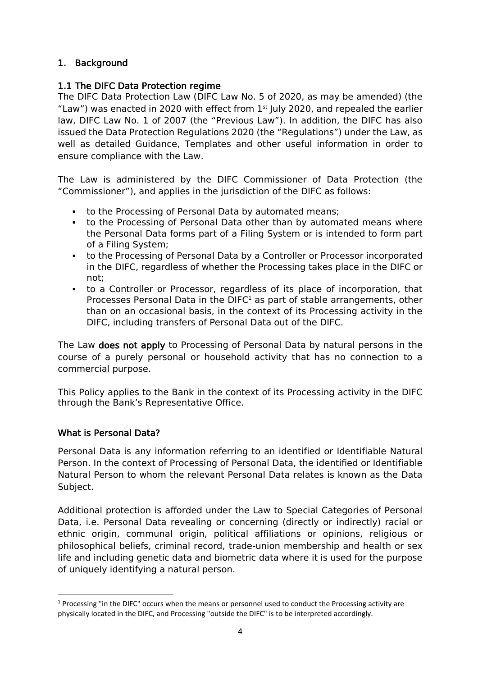# <span id="page-3-0"></span>1. Background

## <span id="page-3-1"></span>1.1 The DIFC Data Protection regime

The [DIFC Data Protection Law](https://www.difc.ae/business/laws-regulations/legal-database/data-protection-law-difc-law-no-5-2020/) (DIFC Law No. 5 of 2020, as may be amended) (the "Law") was enacted in 2020 with effect from  $1<sup>st</sup>$  July 2020, and repealed the earlier law, DIFC Law No. 1 of 2007 (the "Previous Law"). In addition, the DIFC has also issued the [Data Protection Regulations 2020](https://www.difc.ae/download_file/3936/11953/) (the "Regulations") under the Law, as well as detailed [Guidance,](https://www.difc.ae/business/operating/data-protection/guidance/) [Templates](https://www.difc.ae/business/operating/data-protection/forms-fees/) and other [useful information](https://www.difc.ae/business/operating/data-protection/) in order to ensure compliance with the Law.

The Law is administered by the DIFC Commissioner of Data Protection (the "Commissioner"), and applies in the jurisdiction of the DIFC as follows:

- to the Processing of Personal Data by automated means;
- to the Processing of Personal Data other than by automated means where the Personal Data forms part of a Filing System or is intended to form part of a Filing System;
- to the Processing of Personal Data by a Controller or Processor incorporated in the DIFC, regardless of whether the Processing takes place in the DIFC or not;
- to a Controller or Processor, regardless of its place of incorporation, that Processes Personal Data in the  $DIFC<sup>1</sup>$  as part of stable arrangements, other than on an occasional basis, in the context of its Processing activity in the DIFC, including transfers of Personal Data out of the DIFC.

The Law does not apply to Processing of Personal Data by natural persons in the course of a purely personal or household activity that has no connection to a commercial purpose.

This Policy applies to the Bank in the context of its Processing activity in the DIFC through the Bank's Representative Office.

## <span id="page-3-2"></span>What is Personal Data?

Personal Data is any information referring to an identified or Identifiable Natural Person. In the context of Processing of Personal Data, the identified or Identifiable Natural Person to whom the relevant Personal Data relates is known as the Data Subject.

Additional protection is afforded under the Law to Special Categories of Personal Data, i.e. Personal Data revealing or concerning (directly or indirectly) racial or ethnic origin, communal origin, political affiliations or opinions, religious or philosophical beliefs, criminal record, trade-union membership and health or sex life and including genetic data and biometric data where it is used for the purpose of uniquely identifying a natural person.

 $1$  Processing "in the DIFC" occurs when the means or personnel used to conduct the Processing activity are physically located in the DIFC, and Processing "outside the DIFC" is to be interpreted accordingly.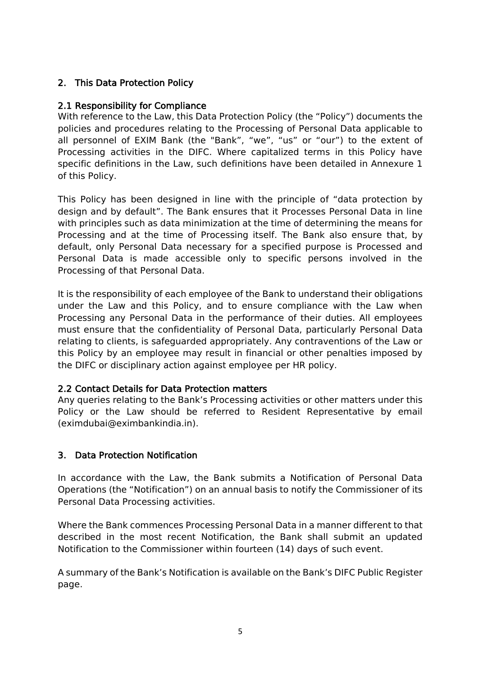# <span id="page-4-0"></span>2. This Data Protection Policy

# <span id="page-4-1"></span>2.1 Responsibility for Compliance

With reference to the Law, this Data Protection Policy (the "Policy") documents the policies and procedures relating to the Processing of Personal Data applicable to all personnel of EXIM Bank (the "Bank", "we", "us" or "our") to the extent of Processing activities in the DIFC. Where capitalized terms in this Policy have specific definitions in the Law, such definitions have been detailed in Annexure 1 of this Policy.

This Policy has been designed in line with the principle of "data protection by design and by default". The Bank ensures that it Processes Personal Data in line with principles such as data minimization at the time of determining the means for Processing and at the time of Processing itself. The Bank also ensure that, by default, only Personal Data necessary for a specified purpose is Processed and Personal Data is made accessible only to specific persons involved in the Processing of that Personal Data.

It is the responsibility of each employee of the Bank to understand their obligations under the Law and this Policy, and to ensure compliance with the Law when Processing any Personal Data in the performance of their duties. All employees must ensure that the confidentiality of Personal Data, particularly Personal Data relating to clients, is safeguarded appropriately. Any contraventions of the Law or this Policy by an employee may result in financial or other penalties imposed by the DIFC or disciplinary action against employee per HR policy.

## <span id="page-4-2"></span>2.2 Contact Details for Data Protection matters

Any queries relating to the Bank's Processing activities or other matters under this Policy or the Law should be referred to Resident Representative by email (eximdubai@eximbankindia.in).

## <span id="page-4-3"></span>3. Data Protection Notification

In accordance with the Law, the Bank submits a Notification of Personal Data Operations (the "Notification") on an annual basis to notify the Commissioner of its Personal Data Processing activities.

Where the Bank commences Processing Personal Data in a manner different to that described in the most recent Notification, the Bank shall submit an updated Notification to the Commissioner within fourteen (14) days of such event.

A summary of the Bank's Notification is available on the Bank's DIFC Public Register page.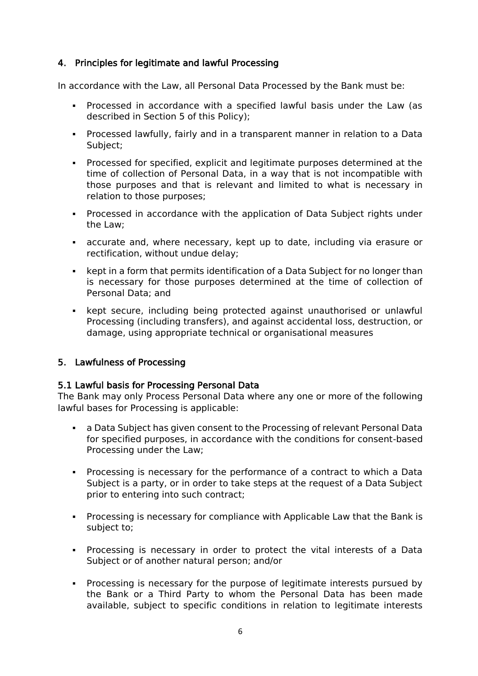## <span id="page-5-0"></span>4. Principles for legitimate and lawful Processing

In accordance with the Law, all Personal Data Processed by the Bank must be:

- Processed in accordance with a specified lawful basis under the Law (as described in Section 5 of this Policy);
- Processed lawfully, fairly and in a transparent manner in relation to a Data Subject;
- Processed for specified, explicit and legitimate purposes determined at the time of collection of Personal Data, in a way that is not incompatible with those purposes and that is relevant and limited to what is necessary in relation to those purposes;
- Processed in accordance with the application of Data Subject rights under the Law;
- accurate and, where necessary, kept up to date, including via erasure or rectification, without undue delay;
- kept in a form that permits identification of a Data Subject for no longer than is necessary for those purposes determined at the time of collection of Personal Data; and
- kept secure, including being protected against unauthorised or unlawful Processing (including transfers), and against accidental loss, destruction, or damage, using appropriate technical or organisational measures

## <span id="page-5-1"></span>5. Lawfulness of Processing

## <span id="page-5-2"></span>5.1 Lawful basis for Processing Personal Data

The Bank may only Process Personal Data where any one or more of the following lawful bases for Processing is applicable:

- a Data Subject has given consent to the Processing of relevant Personal Data for specified purposes, in accordance with the conditions for consent-based Processing under the Law;
- Processing is necessary for the performance of a contract to which a Data Subject is a party, or in order to take steps at the request of a Data Subject prior to entering into such contract;
- Processing is necessary for compliance with Applicable Law that the Bank is subject to;
- Processing is necessary in order to protect the vital interests of a Data Subject or of another natural person; and/or
- Processing is necessary for the purpose of legitimate interests pursued by the Bank or a Third Party to whom the Personal Data has been made available, subject to specific conditions in relation to legitimate interests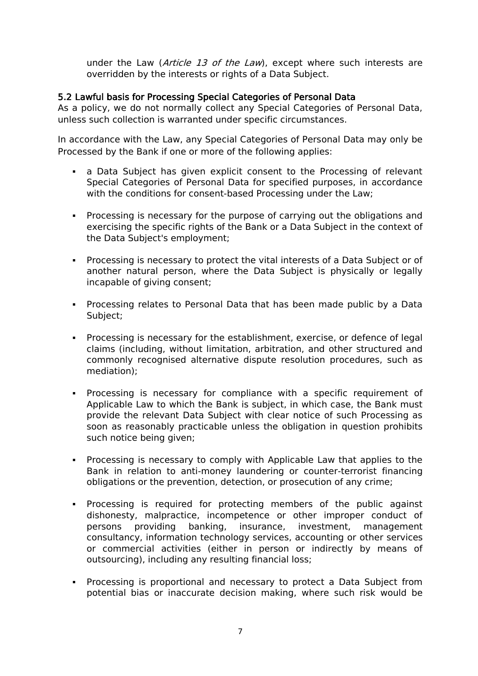under the Law (Article 13 of the Law), except where such interests are overridden by the interests or rights of a Data Subject.

#### <span id="page-6-0"></span>5.2 Lawful basis for Processing Special Categories of Personal Data

As a policy, we do not normally collect any Special Categories of Personal Data, unless such collection is warranted under specific circumstances.

In accordance with the Law, any Special Categories of Personal Data may only be Processed by the Bank if one or more of the following applies:

- **EXT** a Data Subject has given explicit consent to the Processing of relevant Special Categories of Personal Data for specified purposes, in accordance with the conditions for consent-based Processing under the Law;
- Processing is necessary for the purpose of carrying out the obligations and exercising the specific rights of the Bank or a Data Subject in the context of the Data Subject's employment;
- Processing is necessary to protect the vital interests of a Data Subject or of another natural person, where the Data Subject is physically or legally incapable of giving consent;
- Processing relates to Personal Data that has been made public by a Data Subject;
- Processing is necessary for the establishment, exercise, or defence of legal claims (including, without limitation, arbitration, and other structured and commonly recognised alternative dispute resolution procedures, such as mediation);
- Processing is necessary for compliance with a specific requirement of Applicable Law to which the Bank is subject, in which case, the Bank must provide the relevant Data Subject with clear notice of such Processing as soon as reasonably practicable unless the obligation in question prohibits such notice being given;
- Processing is necessary to comply with Applicable Law that applies to the Bank in relation to anti-money laundering or counter-terrorist financing obligations or the prevention, detection, or prosecution of any crime;
- Processing is required for protecting members of the public against dishonesty, malpractice, incompetence or other improper conduct of persons providing banking, insurance, investment, management consultancy, information technology services, accounting or other services or commercial activities (either in person or indirectly by means of outsourcing), including any resulting financial loss;
- Processing is proportional and necessary to protect a Data Subject from potential bias or inaccurate decision making, where such risk would be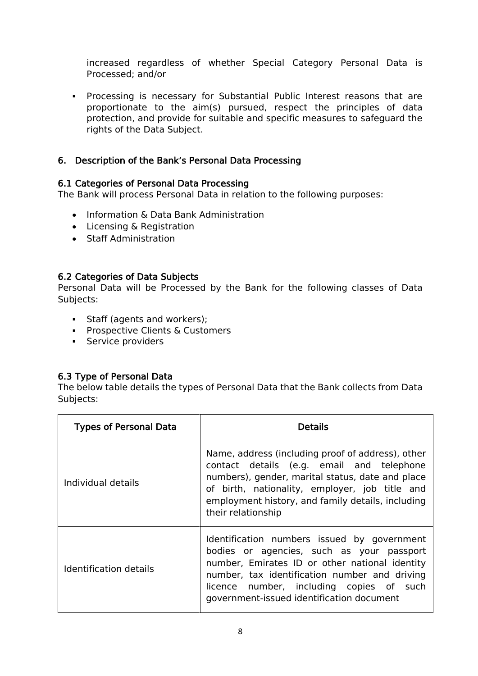increased regardless of whether Special Category Personal Data is Processed; and/or

▪ Processing is necessary for Substantial Public Interest reasons that are proportionate to the aim(s) pursued, respect the principles of data protection, and provide for suitable and specific measures to safeguard the rights of the Data Subject.

#### <span id="page-7-0"></span>6. Description of the Bank's Personal Data Processing

#### <span id="page-7-1"></span>6.1 Categories of Personal Data Processing

The Bank will process Personal Data in relation to the following purposes:

- Information & Data Bank Administration
- Licensing & Registration
- Staff Administration

#### <span id="page-7-2"></span>6.2 Categories of Data Subjects

Personal Data will be Processed by the Bank for the following classes of Data Subjects:

- **•** Staff (agents and workers);
- **Prospective Clients & Customers**
- **•** Service providers

#### <span id="page-7-3"></span>6.3 Type of Personal Data

The below table details the types of Personal Data that the Bank collects from Data Subjects:

| <b>Types of Personal Data</b> | Details                                                                                                                                                                                                                                                                              |
|-------------------------------|--------------------------------------------------------------------------------------------------------------------------------------------------------------------------------------------------------------------------------------------------------------------------------------|
| Individual details            | Name, address (including proof of address), other<br>contact details (e.g. email and telephone<br>numbers), gender, marital status, date and place<br>of birth, nationality, employer, job title and<br>employment history, and family details, including<br>their relationship      |
| <b>Identification details</b> | Identification numbers issued by government<br>bodies or agencies, such as your passport<br>number, Emirates ID or other national identity<br>number, tax identification number and driving<br>licence number, including copies of such<br>government-issued identification document |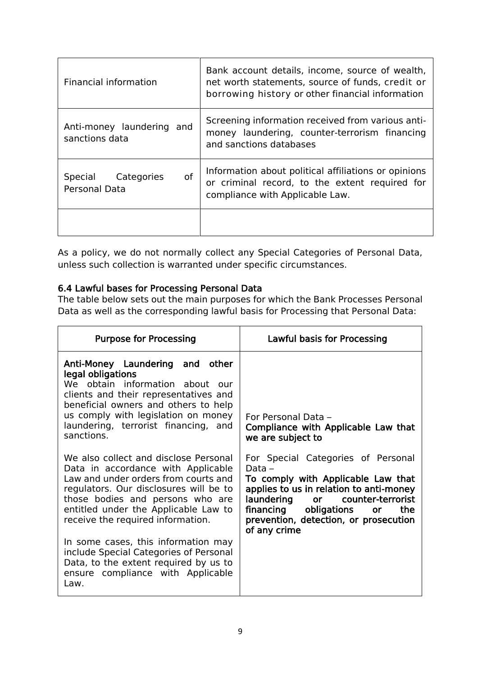| Financial information                               | Bank account details, income, source of wealth,<br>net worth statements, source of funds, credit or<br>borrowing history or other financial information |
|-----------------------------------------------------|---------------------------------------------------------------------------------------------------------------------------------------------------------|
| Anti-money laundering and<br>sanctions data         | Screening information received from various anti-<br>money laundering, counter-terrorism financing<br>and sanctions databases                           |
| <b>of</b><br>Special<br>Categories<br>Personal Data | Information about political affiliations or opinions<br>or criminal record, to the extent required for<br>compliance with Applicable Law.               |
|                                                     |                                                                                                                                                         |

As a policy, we do not normally collect any Special Categories of Personal Data, unless such collection is warranted under specific circumstances.

## <span id="page-8-0"></span>6.4 Lawful bases for Processing Personal Data

The table below sets out the main purposes for which the Bank Processes Personal Data as well as the corresponding lawful basis for Processing that Personal Data:

| <b>Purpose for Processing</b>                                                                                                                                                                                                                                                                                                                                                                                                                         | Lawful basis for Processing                                                                                                                                                                                                                                            |
|-------------------------------------------------------------------------------------------------------------------------------------------------------------------------------------------------------------------------------------------------------------------------------------------------------------------------------------------------------------------------------------------------------------------------------------------------------|------------------------------------------------------------------------------------------------------------------------------------------------------------------------------------------------------------------------------------------------------------------------|
| Anti-Money Laundering and other<br>legal obligations<br>We obtain information about our<br>clients and their representatives and<br>beneficial owners and others to help<br>us comply with legislation on money<br>laundering, terrorist financing, and<br>sanctions.                                                                                                                                                                                 | For Personal Data -<br>Compliance with Applicable Law that<br>we are subject to                                                                                                                                                                                        |
| We also collect and disclose Personal<br>Data in accordance with Applicable<br>Law and under orders from courts and<br>regulators. Our disclosures will be to<br>those bodies and persons who are<br>entitled under the Applicable Law to<br>receive the required information.<br>In some cases, this information may<br>include Special Categories of Personal<br>Data, to the extent required by us to<br>ensure compliance with Applicable<br>Law. | For Special Categories of Personal<br>Data –<br>To comply with Applicable Law that<br>applies to us in relation to anti-money<br>laundering or counter-terrorist<br>financing obligations<br>the<br><b>or</b><br>prevention, detection, or prosecution<br>of any crime |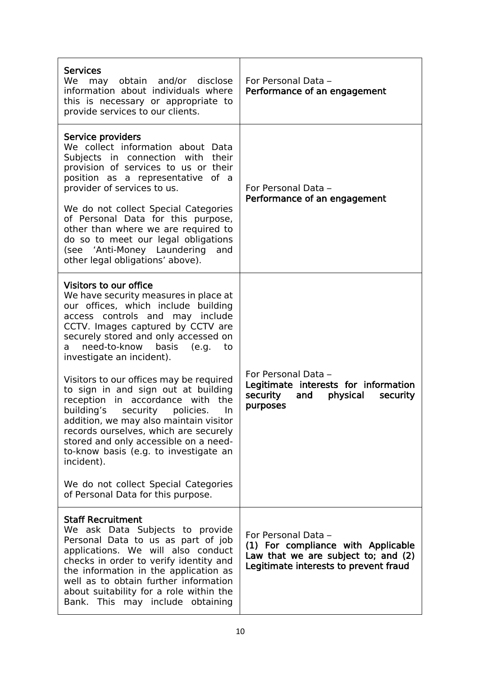| <b>Services</b><br>We may obtain and/or disclose<br>information about individuals where<br>this is necessary or appropriate to<br>provide services to our clients.                                                                                                                                                                                                                                                                                                                                                                                                                                                                                                                                                                   | For Personal Data -<br>Performance of an engagement                                                                                       |
|--------------------------------------------------------------------------------------------------------------------------------------------------------------------------------------------------------------------------------------------------------------------------------------------------------------------------------------------------------------------------------------------------------------------------------------------------------------------------------------------------------------------------------------------------------------------------------------------------------------------------------------------------------------------------------------------------------------------------------------|-------------------------------------------------------------------------------------------------------------------------------------------|
| Service providers<br>We collect information about Data<br>Subjects in connection with their<br>provision of services to us or their<br>position as a representative of a<br>provider of services to us.<br>We do not collect Special Categories<br>of Personal Data for this purpose,<br>other than where we are required to<br>do so to meet our legal obligations<br>(see 'Anti-Money Laundering<br>and<br>other legal obligations' above).                                                                                                                                                                                                                                                                                        | For Personal Data -<br>Performance of an engagement                                                                                       |
| Visitors to our office<br>We have security measures in place at<br>our offices, which include building<br>access controls and may include<br>CCTV. Images captured by CCTV are<br>securely stored and only accessed on<br>need-to-know<br>basis<br>(e.q.<br>to<br>a<br>investigate an incident).<br>Visitors to our offices may be required<br>to sign in and sign out at building<br>reception in accordance with<br>the<br>building's<br>security policies.<br>In<br>addition, we may also maintain visitor<br>records ourselves, which are securely<br>stored and only accessible on a need-<br>to-know basis (e.g. to investigate an<br>incident).<br>We do not collect Special Categories<br>of Personal Data for this purpose. | For Personal Data -<br>Legitimate interests for information<br>security<br>physical<br>and<br>security<br>purposes                        |
| <b>Staff Recruitment</b><br>We ask Data Subjects to provide<br>Personal Data to us as part of job<br>applications. We will also conduct<br>checks in order to verify identity and<br>the information in the application as<br>well as to obtain further information<br>about suitability for a role within the<br>Bank. This may include obtaining                                                                                                                                                                                                                                                                                                                                                                                   | For Personal Data -<br>(1) For compliance with Applicable<br>Law that we are subject to; and (2)<br>Legitimate interests to prevent fraud |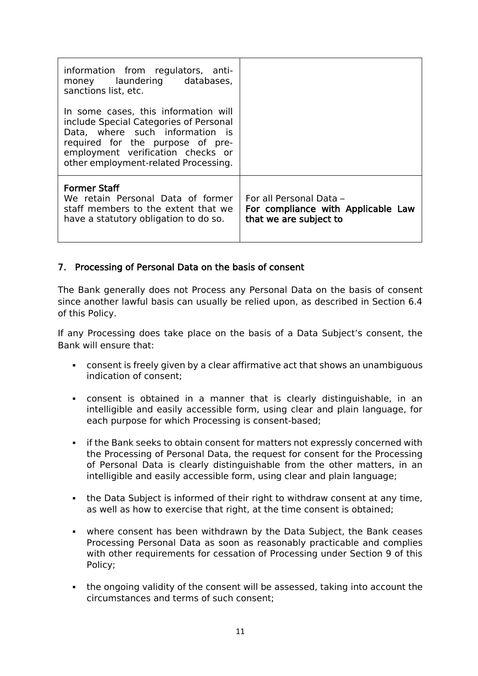| information from regulators, anti-<br>money laundering databases,<br>sanctions list, etc.                                                                                                                                          |                                                                                         |
|------------------------------------------------------------------------------------------------------------------------------------------------------------------------------------------------------------------------------------|-----------------------------------------------------------------------------------------|
| In some cases, this information will<br>include Special Categories of Personal<br>Data, where such information is<br>required for the purpose of pre-<br>employment verification checks or<br>other employment-related Processing. |                                                                                         |
| <b>Former Staff</b><br>We retain Personal Data of former<br>staff members to the extent that we<br>have a statutory obligation to do so.                                                                                           | For all Personal Data -<br>For compliance with Applicable Law<br>that we are subject to |

#### <span id="page-10-0"></span>7. Processing of Personal Data on the basis of consent

The Bank generally does not Process any Personal Data on the basis of consent since another lawful basis can usually be relied upon, as described in Section 6.4 of this Policy.

If any Processing does take place on the basis of a Data Subject's consent, the Bank will ensure that:

- consent is freely given by a clear affirmative act that shows an unambiguous indication of consent;
- consent is obtained in a manner that is clearly distinguishable, in an intelligible and easily accessible form, using clear and plain language, for each purpose for which Processing is consent-based;
- **•** if the Bank seeks to obtain consent for matters not expressly concerned with the Processing of Personal Data, the request for consent for the Processing of Personal Data is clearly distinguishable from the other matters, in an intelligible and easily accessible form, using clear and plain language;
- the Data Subject is informed of their right to withdraw consent at any time, as well as how to exercise that right, at the time consent is obtained;
- where consent has been withdrawn by the Data Subject, the Bank ceases Processing Personal Data as soon as reasonably practicable and complies with other requirements for cessation of Processing under Section 9 of this Policy;
- the ongoing validity of the consent will be assessed, taking into account the circumstances and terms of such consent;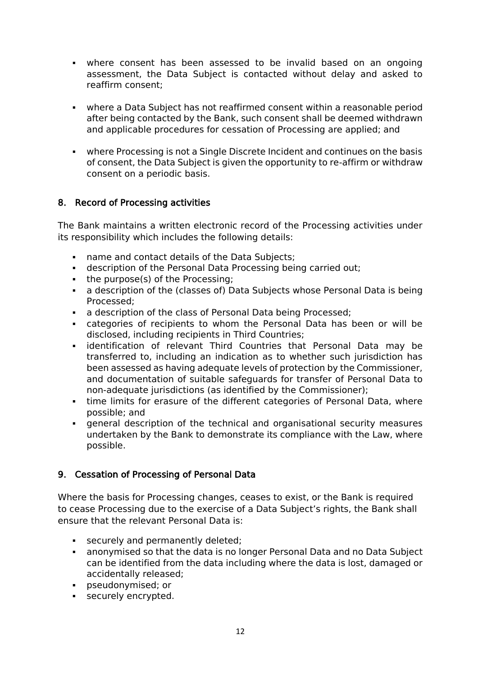- where consent has been assessed to be invalid based on an ongoing assessment, the Data Subject is contacted without delay and asked to reaffirm consent;
- where a Data Subject has not reaffirmed consent within a reasonable period after being contacted by the Bank, such consent shall be deemed withdrawn and applicable procedures for cessation of Processing are applied; and
- where Processing is not a Single Discrete Incident and continues on the basis of consent, the Data Subject is given the opportunity to re-affirm or withdraw consent on a periodic basis.

# <span id="page-11-0"></span>8. Record of Processing activities

The Bank maintains a written electronic record of the Processing activities under its responsibility which includes the following details:

- name and contact details of the Data Subjects;
- **EXEDENT** description of the Personal Data Processing being carried out;
- the purpose(s) of the Processing;
- **•** a description of the (classes of) Data Subjects whose Personal Data is being Processed;
- **a description of the class of Personal Data being Processed:**
- categories of recipients to whom the Personal Data has been or will be disclosed, including recipients in Third Countries;
- identification of relevant Third Countries that Personal Data may be transferred to, including an indication as to whether such jurisdiction has been assessed as having adequate levels of protection by the Commissioner, and documentation of suitable safeguards for transfer of Personal Data to non-adequate jurisdictions (as identified by the Commissioner);
- **time limits for erasure of the different categories of Personal Data, where** possible; and
- general description of the technical and organisational security measures undertaken by the Bank to demonstrate its compliance with the Law, where possible.

## <span id="page-11-1"></span>9. Cessation of Processing of Personal Data

Where the basis for Processing changes, ceases to exist, or the Bank is required to cease Processing due to the exercise of a Data Subject's rights, the Bank shall ensure that the relevant Personal Data is:

- **•** securely and permanently deleted;
- anonymised so that the data is no longer Personal Data and no Data Subject can be identified from the data including where the data is lost, damaged or accidentally released;
- pseudonymised; or
- **•** securely encrypted.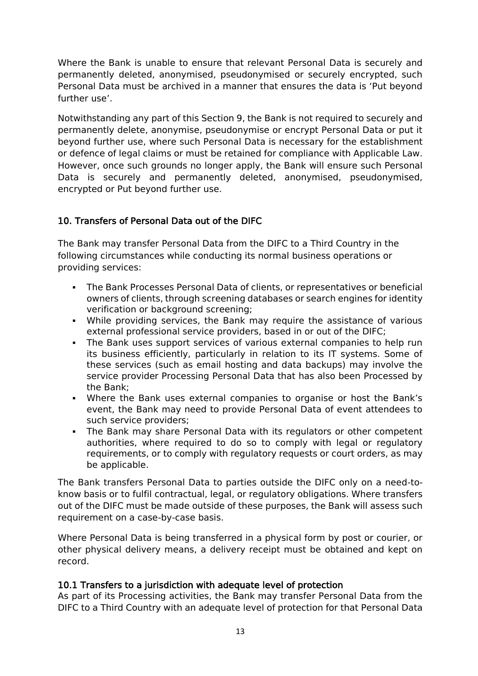Where the Bank is unable to ensure that relevant Personal Data is securely and permanently deleted, anonymised, pseudonymised or securely encrypted, such Personal Data must be archived in a manner that ensures the data is 'Put beyond further use'.

Notwithstanding any part of this Section 9, the Bank is not required to securely and permanently delete, anonymise, pseudonymise or encrypt Personal Data or put it beyond further use, where such Personal Data is necessary for the establishment or defence of legal claims or must be retained for compliance with Applicable Law. However, once such grounds no longer apply, the Bank will ensure such Personal Data is securely and permanently deleted, anonymised, pseudonymised, encrypted or Put beyond further use.

# <span id="page-12-0"></span>10. Transfers of Personal Data out of the DIFC

The Bank may transfer Personal Data from the DIFC to a Third Country in the following circumstances while conducting its normal business operations or providing services:

- The Bank Processes Personal Data of clients, or representatives or beneficial owners of clients, through screening databases or search engines for identity verification or background screening;
- While providing services, the Bank may require the assistance of various external professional service providers, based in or out of the DIFC;
- **•** The Bank uses support services of various external companies to help run its business efficiently, particularly in relation to its IT systems. Some of these services (such as email hosting and data backups) may involve the service provider Processing Personal Data that has also been Processed by the Bank;
- Where the Bank uses external companies to organise or host the Bank's event, the Bank may need to provide Personal Data of event attendees to such service providers;
- The Bank may share Personal Data with its regulators or other competent authorities, where required to do so to comply with legal or regulatory requirements, or to comply with regulatory requests or court orders, as may be applicable.

The Bank transfers Personal Data to parties outside the DIFC only on a need-toknow basis or to fulfil contractual, legal, or regulatory obligations. Where transfers out of the DIFC must be made outside of these purposes, the Bank will assess such requirement on a case-by-case basis.

Where Personal Data is being transferred in a physical form by post or courier, or other physical delivery means, a delivery receipt must be obtained and kept on record.

## <span id="page-12-1"></span>10.1 Transfers to a jurisdiction with adequate level of protection

As part of its Processing activities, the Bank may transfer Personal Data from the DIFC to a Third Country with an adequate level of protection for that Personal Data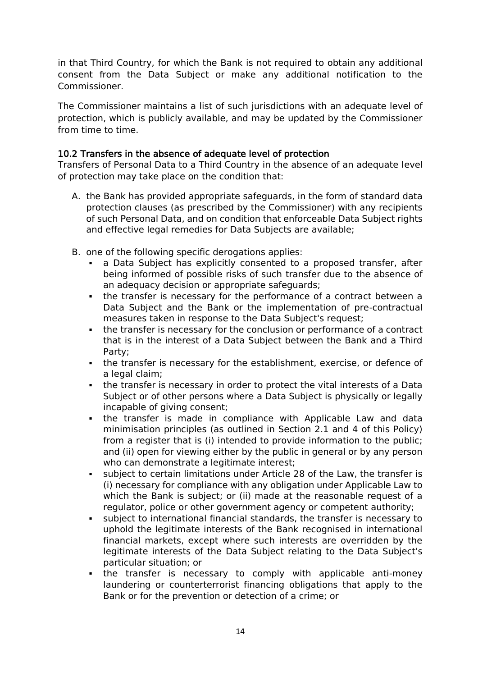in that Third Country, for which the Bank is not required to obtain any additional consent from the Data Subject or make any additional notification to the Commissioner.

The Commissioner maintains a [list of such jurisdictions with an adequate level of](https://www.difc.ae/business/operating/data-protection/adequate-data-protection-regimes/)  [protection,](https://www.difc.ae/business/operating/data-protection/adequate-data-protection-regimes/) which is publicly available, and may be updated by the Commissioner from time to time.

## <span id="page-13-0"></span>10.2 Transfers in the absence of adequate level of protection

Transfers of Personal Data to a Third Country in the absence of an adequate level of protection may take place on the condition that:

- A. the Bank has provided appropriate safeguards, in the form of standard data protection clauses (as prescribed by the Commissioner) with any recipients of such Personal Data, and on condition that enforceable Data Subject rights and effective legal remedies for Data Subjects are available;
- B. one of the following specific derogations applies:
	- a Data Subject has explicitly consented to a proposed transfer, after being informed of possible risks of such transfer due to the absence of an adequacy decision or appropriate safeguards;
	- **•** the transfer is necessary for the performance of a contract between a Data Subject and the Bank or the implementation of pre-contractual measures taken in response to the Data Subject's request;
	- **the transfer is necessary for the conclusion or performance of a contract** that is in the interest of a Data Subject between the Bank and a Third Party;
	- **•** the transfer is necessary for the establishment, exercise, or defence of a legal claim;
	- **.** the transfer is necessary in order to protect the vital interests of a Data Subject or of other persons where a Data Subject is physically or legally incapable of giving consent;
	- . the transfer is made in compliance with Applicable Law and data minimisation principles (as outlined in Section 2.1 and 4 of this Policy) from a register that is (i) intended to provide information to the public; and (ii) open for viewing either by the public in general or by any person who can demonstrate a legitimate interest;
	- subject to certain limitations under Article 28 of the Law, the transfer is (i) necessary for compliance with any obligation under Applicable Law to which the Bank is subject; or (ii) made at the reasonable request of a regulator, police or other government agency or competent authority;
	- subject to international financial standards, the transfer is necessary to uphold the legitimate interests of the Bank recognised in international financial markets, except where such interests are overridden by the legitimate interests of the Data Subject relating to the Data Subject's particular situation; or
	- . the transfer is necessary to comply with applicable anti-money laundering or counterterrorist financing obligations that apply to the Bank or for the prevention or detection of a crime; or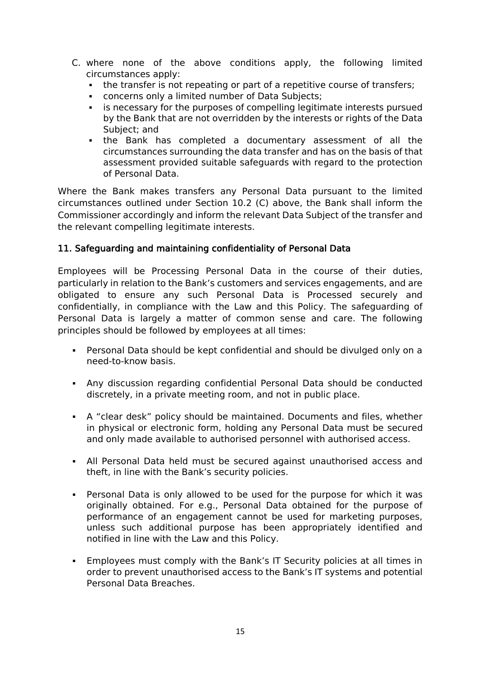- C. where none of the above conditions apply, the following limited circumstances apply:
	- **•** the transfer is not repeating or part of a repetitive course of transfers:
	- concerns only a limited number of Data Subjects;
	- **EXED is necessary for the purposes of compelling legitimate interests pursued** by the Bank that are not overridden by the interests or rights of the Data Subject; and
	- the Bank has completed a documentary assessment of all the circumstances surrounding the data transfer and has on the basis of that assessment provided suitable safeguards with regard to the protection of Personal Data.

Where the Bank makes transfers any Personal Data pursuant to the limited circumstances outlined under Section 10.2 (C) above, the Bank shall inform the Commissioner accordingly and inform the relevant Data Subject of the transfer and the relevant compelling legitimate interests.

#### <span id="page-14-0"></span>11. Safeguarding and maintaining confidentiality of Personal Data

Employees will be Processing Personal Data in the course of their duties, particularly in relation to the Bank's customers and services engagements, and are obligated to ensure any such Personal Data is Processed securely and confidentially, in compliance with the Law and this Policy. The safeguarding of Personal Data is largely a matter of common sense and care. The following principles should be followed by employees at all times:

- Personal Data should be kept confidential and should be divulged only on a need-to-know basis.
- Any discussion regarding confidential Personal Data should be conducted discretely, in a private meeting room, and not in public place.
- A "clear desk" policy should be maintained. Documents and files, whether in physical or electronic form, holding any Personal Data must be secured and only made available to authorised personnel with authorised access.
- All Personal Data held must be secured against unauthorised access and theft, in line with the Bank's security policies.
- Personal Data is only allowed to be used for the purpose for which it was originally obtained. For e.g., Personal Data obtained for the purpose of performance of an engagement cannot be used for marketing purposes, unless such additional purpose has been appropriately identified and notified in line with the Law and this Policy.
- Employees must comply with the Bank's IT Security policies at all times in order to prevent unauthorised access to the Bank's IT systems and potential Personal Data Breaches.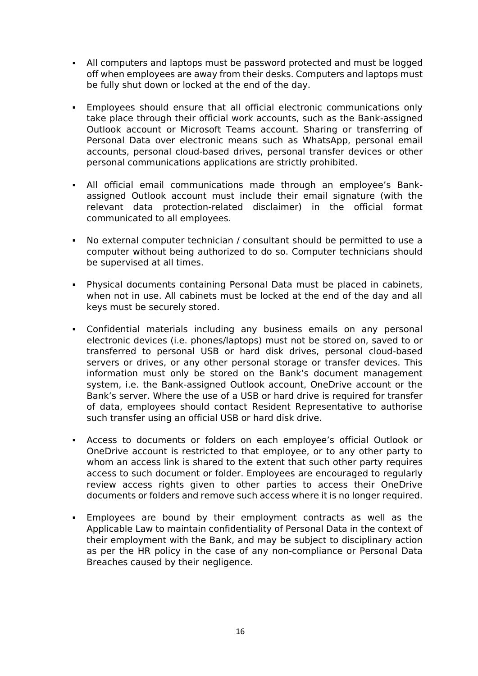- All computers and laptops must be password protected and must be logged off when employees are away from their desks. Computers and laptops must be fully shut down or locked at the end of the day.
- Employees should ensure that all official electronic communications only take place through their official work accounts, such as the Bank-assigned Outlook account or Microsoft Teams account. Sharing or transferring of Personal Data over electronic means such as WhatsApp, personal email accounts, personal cloud-based drives, personal transfer devices or other personal communications applications are strictly prohibited.
- All official email communications made through an employee's Bankassigned Outlook account must include their email signature (with the relevant data protection-related disclaimer) in the official format communicated to all employees.
- No external computer technician / consultant should be permitted to use a computer without being authorized to do so. Computer technicians should be supervised at all times.
- Physical documents containing Personal Data must be placed in cabinets, when not in use. All cabinets must be locked at the end of the day and all keys must be securely stored.
- Confidential materials including any business emails on any personal electronic devices (i.e. phones/laptops) must not be stored on, saved to or transferred to personal USB or hard disk drives, personal cloud-based servers or drives, or any other personal storage or transfer devices. This information must only be stored on the Bank's document management system, i.e. the Bank-assigned Outlook account, OneDrive account or the Bank's server. Where the use of a USB or hard drive is required for transfer of data, employees should contact Resident Representative to authorise such transfer using an official USB or hard disk drive.
- Access to documents or folders on each employee's official Outlook or OneDrive account is restricted to that employee, or to any other party to whom an access link is shared to the extent that such other party requires access to such document or folder. Employees are encouraged to regularly review access rights given to other parties to access their OneDrive documents or folders and remove such access where it is no longer required.
- Employees are bound by their employment contracts as well as the Applicable Law to maintain confidentiality of Personal Data in the context of their employment with the Bank, and may be subject to disciplinary action as per the HR policy in the case of any non-compliance or Personal Data Breaches caused by their negligence.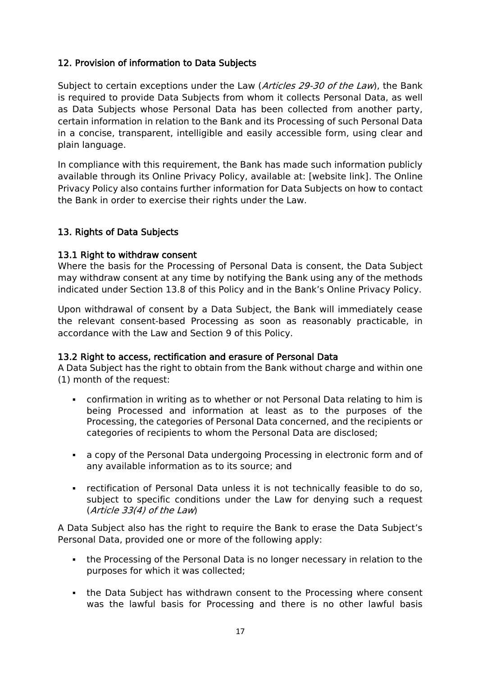# <span id="page-16-0"></span>12. Provision of information to Data Subjects

Subject to certain exceptions under the Law (Articles 29-30 of the Law), the Bank is required to provide Data Subjects from whom it collects Personal Data, as well as Data Subjects whose Personal Data has been collected from another party, certain information in relation to the Bank and its Processing of such Personal Data in a concise, transparent, intelligible and easily accessible form, using clear and plain language.

In compliance with this requirement, the Bank has made such information publicly available through its Online Privacy Policy, available at: [website link]. The Online Privacy Policy also contains further information for Data Subjects on how to contact the Bank in order to exercise their rights under the Law.

# <span id="page-16-1"></span>13. Rights of Data Subjects

#### <span id="page-16-2"></span>13.1 Right to withdraw consent

Where the basis for the Processing of Personal Data is consent, the Data Subject may withdraw consent at any time by notifying the Bank using any of the methods indicated under Section 13.8 of this Policy and in the Bank's Online Privacy Policy.

Upon withdrawal of consent by a Data Subject, the Bank will immediately cease the relevant consent-based Processing as soon as reasonably practicable, in accordance with the Law and Section 9 of this Policy.

#### <span id="page-16-3"></span>13.2 Right to access, rectification and erasure of Personal Data

A Data Subject has the right to obtain from the Bank without charge and within one (1) month of the request:

- confirmation in writing as to whether or not Personal Data relating to him is being Processed and information at least as to the purposes of the Processing, the categories of Personal Data concerned, and the recipients or categories of recipients to whom the Personal Data are disclosed;
- a copy of the Personal Data undergoing Processing in electronic form and of any available information as to its source; and
- rectification of Personal Data unless it is not technically feasible to do so, subject to specific conditions under the Law for denying such a request (Article 33(4) of the Law)

A Data Subject also has the right to require the Bank to erase the Data Subject's Personal Data, provided one or more of the following apply:

- the Processing of the Personal Data is no longer necessary in relation to the purposes for which it was collected;
- the Data Subject has withdrawn consent to the Processing where consent was the lawful basis for Processing and there is no other lawful basis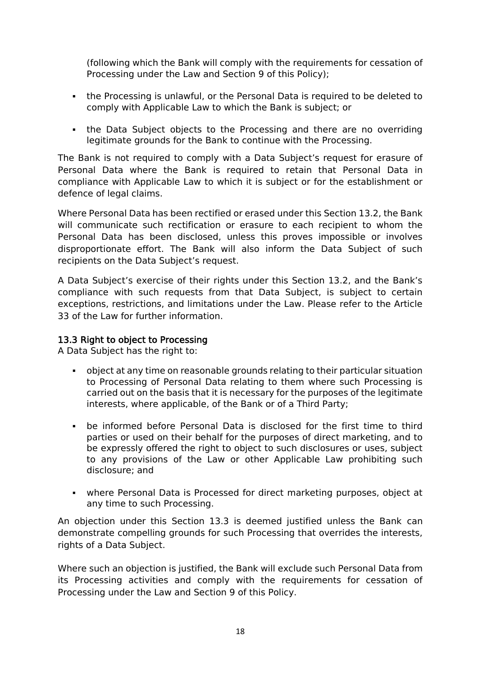(following which the Bank will comply with the requirements for cessation of Processing under the Law and Section 9 of this Policy);

- the Processing is unlawful, or the Personal Data is required to be deleted to comply with Applicable Law to which the Bank is subject; or
- . the Data Subject objects to the Processing and there are no overriding legitimate grounds for the Bank to continue with the Processing.

The Bank is not required to comply with a Data Subject's request for erasure of Personal Data where the Bank is required to retain that Personal Data in compliance with Applicable Law to which it is subject or for the establishment or defence of legal claims.

Where Personal Data has been rectified or erased under this Section 13.2, the Bank will communicate such rectification or erasure to each recipient to whom the Personal Data has been disclosed, unless this proves impossible or involves disproportionate effort. The Bank will also inform the Data Subject of such recipients on the Data Subject's request.

A Data Subject's exercise of their rights under this Section 13.2, and the Bank's compliance with such requests from that Data Subject, is subject to certain exceptions, restrictions, and limitations under the Law. Please refer to the Article 33 of the Law for further information.

#### <span id="page-17-0"></span>13.3 Right to object to Processing

A Data Subject has the right to:

- object at any time on reasonable grounds relating to their particular situation to Processing of Personal Data relating to them where such Processing is carried out on the basis that it is necessary for the purposes of the legitimate interests, where applicable, of the Bank or of a Third Party;
- be informed before Personal Data is disclosed for the first time to third parties or used on their behalf for the purposes of direct marketing, and to be expressly offered the right to object to such disclosures or uses, subject to any provisions of the Law or other Applicable Law prohibiting such disclosure; and
- where Personal Data is Processed for direct marketing purposes, object at any time to such Processing.

An objection under this Section 13.3 is deemed justified unless the Bank can demonstrate compelling grounds for such Processing that overrides the interests, rights of a Data Subject.

Where such an objection is justified, the Bank will exclude such Personal Data from its Processing activities and comply with the requirements for cessation of Processing under the Law and Section 9 of this Policy.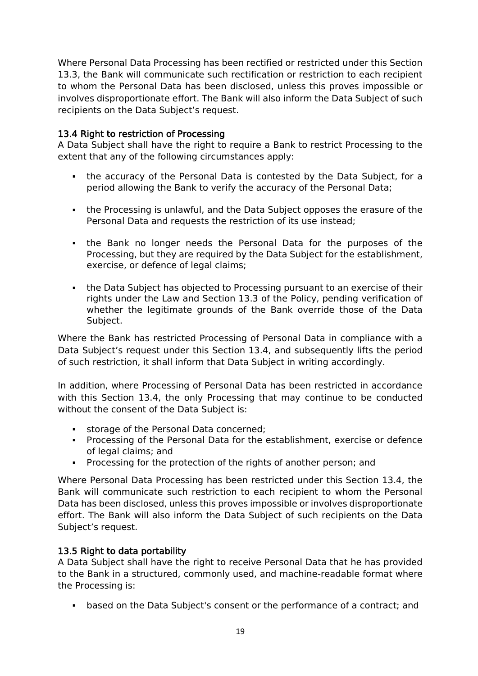Where Personal Data Processing has been rectified or restricted under this Section 13.3, the Bank will communicate such rectification or restriction to each recipient to whom the Personal Data has been disclosed, unless this proves impossible or involves disproportionate effort. The Bank will also inform the Data Subject of such recipients on the Data Subject's request.

## <span id="page-18-0"></span>13.4 Right to restriction of Processing

A Data Subject shall have the right to require a Bank to restrict Processing to the extent that any of the following circumstances apply:

- the accuracy of the Personal Data is contested by the Data Subject, for a period allowing the Bank to verify the accuracy of the Personal Data;
- **the Processing is unlawful, and the Data Subject opposes the erasure of the** Personal Data and requests the restriction of its use instead;
- the Bank no longer needs the Personal Data for the purposes of the Processing, but they are required by the Data Subject for the establishment, exercise, or defence of legal claims;
- **the Data Subject has objected to Processing pursuant to an exercise of their** rights under the Law and Section 13.3 of the Policy, pending verification of whether the legitimate grounds of the Bank override those of the Data Subject.

Where the Bank has restricted Processing of Personal Data in compliance with a Data Subject's request under this Section 13.4, and subsequently lifts the period of such restriction, it shall inform that Data Subject in writing accordingly.

In addition, where Processing of Personal Data has been restricted in accordance with this Section 13.4, the only Processing that may continue to be conducted without the consent of the Data Subject is:

- storage of the Personal Data concerned;
- **Processing of the Personal Data for the establishment, exercise or defence** of legal claims; and
- Processing for the protection of the rights of another person; and

Where Personal Data Processing has been restricted under this Section 13.4, the Bank will communicate such restriction to each recipient to whom the Personal Data has been disclosed, unless this proves impossible or involves disproportionate effort. The Bank will also inform the Data Subject of such recipients on the Data Subject's request.

# <span id="page-18-1"></span>13.5 Right to data portability

A Data Subject shall have the right to receive Personal Data that he has provided to the Bank in a structured, commonly used, and machine-readable format where the Processing is:

▪ based on the Data Subject's consent or the performance of a contract; and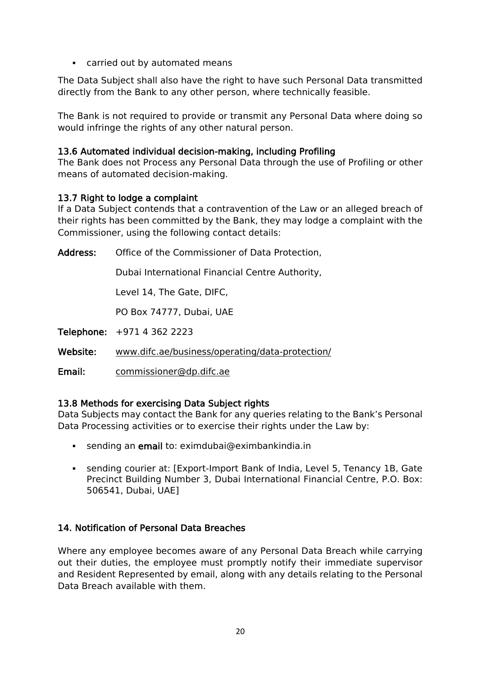■ carried out by automated means

The Data Subject shall also have the right to have such Personal Data transmitted directly from the Bank to any other person, where technically feasible.

The Bank is not required to provide or transmit any Personal Data where doing so would infringe the rights of any other natural person.

#### <span id="page-19-0"></span>13.6 Automated individual decision-making, including Profiling

The Bank does not Process any Personal Data through the use of Profiling or other means of automated decision-making.

#### <span id="page-19-1"></span>13.7 Right to lodge a complaint

If a Data Subject contends that a contravention of the Law or an alleged breach of their rights has been committed by the Bank, they may lodge a complaint with the Commissioner, using the following contact details:

Address: Office of the Commissioner of Data Protection,

Dubai International Financial Centre Authority,

Level 14, The Gate, DIFC,

PO Box 74777, Dubai, UAE

Telephone: +971 4 362 2223

Website: [www.difc.ae/business/operating/data-protection/](http://www.difc.ae/business/operating/data-protection/)

Email: [commissioner@dp.difc.ae](mailto:commissioner@dp.difc.ae)

## <span id="page-19-2"></span>13.8 Methods for exercising Data Subject rights

Data Subjects may contact the Bank for any queries relating to the Bank's Personal Data Processing activities or to exercise their rights under the Law by:

- **EXTED Sending an email to: eximdubai@eximbankindia.in**
- sending courier at: [Export-Import Bank of India, Level 5, Tenancy 1B, Gate Precinct Building Number 3, Dubai International Financial Centre, P.O. Box: 506541, Dubai, UAE]

## <span id="page-19-3"></span>14. Notification of Personal Data Breaches

Where any employee becomes aware of any Personal Data Breach while carrying out their duties, the employee must promptly notify their immediate supervisor and Resident Represented by email, along with any details relating to the Personal Data Breach available with them.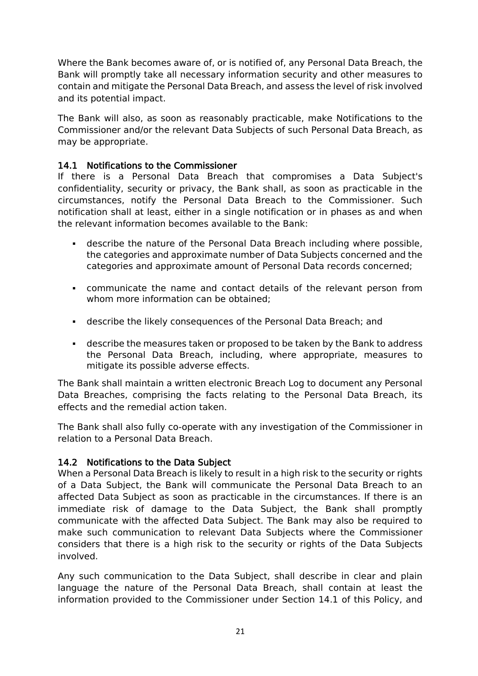Where the Bank becomes aware of, or is notified of, any Personal Data Breach, the Bank will promptly take all necessary information security and other measures to contain and mitigate the Personal Data Breach, and assess the level of risk involved and its potential impact.

The Bank will also, as soon as reasonably practicable, make Notifications to the Commissioner and/or the relevant Data Subjects of such Personal Data Breach, as may be appropriate.

## <span id="page-20-0"></span>14.1 Notifications to the Commissioner

If there is a Personal Data Breach that compromises a Data Subject's confidentiality, security or privacy, the Bank shall, as soon as practicable in the circumstances, notify the Personal Data Breach to the Commissioner. Such notification shall at least, either in a single notification or in phases as and when the relevant information becomes available to the Bank:

- describe the nature of the Personal Data Breach including where possible, the categories and approximate number of Data Subjects concerned and the categories and approximate amount of Personal Data records concerned;
- communicate the name and contact details of the relevant person from whom more information can be obtained;
- describe the likely consequences of the Personal Data Breach; and
- describe the measures taken or proposed to be taken by the Bank to address the Personal Data Breach, including, where appropriate, measures to mitigate its possible adverse effects.

The Bank shall maintain a written electronic Breach Log to document any Personal Data Breaches, comprising the facts relating to the Personal Data Breach, its effects and the remedial action taken.

The Bank shall also fully co-operate with any investigation of the Commissioner in relation to a Personal Data Breach.

## <span id="page-20-1"></span>14.2 Notifications to the Data Subject

When a Personal Data Breach is likely to result in a high risk to the security or rights of a Data Subject, the Bank will communicate the Personal Data Breach to an affected Data Subject as soon as practicable in the circumstances. If there is an immediate risk of damage to the Data Subject, the Bank shall promptly communicate with the affected Data Subject. The Bank may also be required to make such communication to relevant Data Subjects where the Commissioner considers that there is a high risk to the security or rights of the Data Subjects involved.

Any such communication to the Data Subject, shall describe in clear and plain language the nature of the Personal Data Breach, shall contain at least the information provided to the Commissioner under Section 14.1 of this Policy, and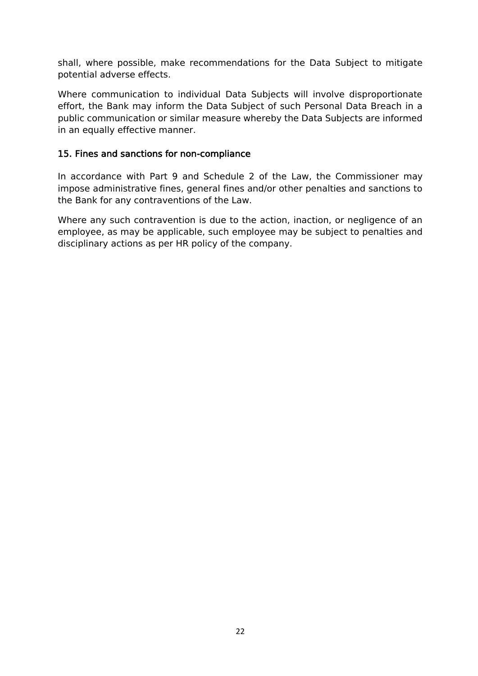shall, where possible, make recommendations for the Data Subject to mitigate potential adverse effects.

Where communication to individual Data Subjects will involve disproportionate effort, the Bank may inform the Data Subject of such Personal Data Breach in a public communication or similar measure whereby the Data Subjects are informed in an equally effective manner.

## <span id="page-21-0"></span>15. Fines and sanctions for non-compliance

In accordance with Part 9 and Schedule 2 of the Law, the Commissioner may impose administrative fines, general fines and/or other penalties and sanctions to the Bank for any contraventions of the Law.

Where any such contravention is due to the action, inaction, or negligence of an employee, as may be applicable, such employee may be subject to penalties and disciplinary actions as per HR policy of the company.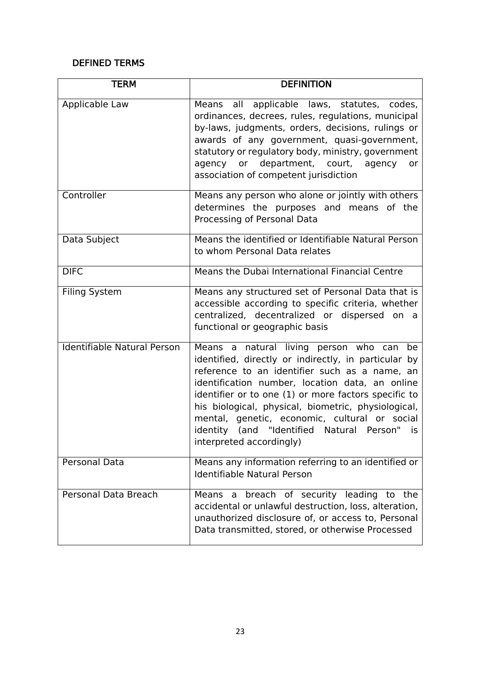## <span id="page-22-0"></span>DEFINED TERMS

| <b>TERM</b>                        | <b>DEFINITION</b>                                                                                                                                                                                                                                                                                                                                                                                                                                   |
|------------------------------------|-----------------------------------------------------------------------------------------------------------------------------------------------------------------------------------------------------------------------------------------------------------------------------------------------------------------------------------------------------------------------------------------------------------------------------------------------------|
| Applicable Law                     | Means all applicable laws, statutes, codes,<br>ordinances, decrees, rules, regulations, municipal<br>by-laws, judgments, orders, decisions, rulings or<br>awards of any government, quasi-government,<br>statutory or regulatory body, ministry, government<br>agency or department, court, agency<br>or<br>association of competent jurisdiction                                                                                                   |
| Controller                         | Means any person who alone or jointly with others<br>determines the purposes and means of the<br>Processing of Personal Data                                                                                                                                                                                                                                                                                                                        |
| Data Subject                       | Means the identified or Identifiable Natural Person<br>to whom Personal Data relates                                                                                                                                                                                                                                                                                                                                                                |
| <b>DIFC</b>                        | Means the Dubai International Financial Centre                                                                                                                                                                                                                                                                                                                                                                                                      |
| <b>Filing System</b>               | Means any structured set of Personal Data that is<br>accessible according to specific criteria, whether<br>centralized, decentralized or dispersed on a<br>functional or geographic basis                                                                                                                                                                                                                                                           |
| <b>Identifiable Natural Person</b> | Means a natural living person who can<br>be<br>identified, directly or indirectly, in particular by<br>reference to an identifier such as a name, an<br>identification number, location data, an online<br>identifier or to one (1) or more factors specific to<br>his biological, physical, biometric, physiological,<br>mental, genetic, economic, cultural or social<br>identity (and "Identified Natural Person" is<br>interpreted accordingly) |
| Personal Data                      | Means any information referring to an identified or<br><b>Identifiable Natural Person</b>                                                                                                                                                                                                                                                                                                                                                           |
| Personal Data Breach               | breach of security leading to the<br>Means a<br>accidental or unlawful destruction, loss, alteration,<br>unauthorized disclosure of, or access to, Personal<br>Data transmitted, stored, or otherwise Processed                                                                                                                                                                                                                                     |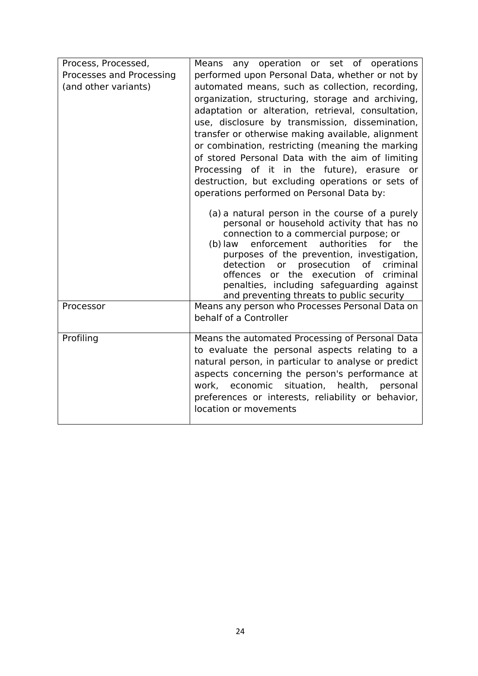| Process, Processed,      | Means any operation or set of operations                                                                                                                                                                                                                                                                                                                                                                                                                                                                  |
|--------------------------|-----------------------------------------------------------------------------------------------------------------------------------------------------------------------------------------------------------------------------------------------------------------------------------------------------------------------------------------------------------------------------------------------------------------------------------------------------------------------------------------------------------|
| Processes and Processing | performed upon Personal Data, whether or not by                                                                                                                                                                                                                                                                                                                                                                                                                                                           |
| (and other variants)     | automated means, such as collection, recording,                                                                                                                                                                                                                                                                                                                                                                                                                                                           |
|                          | organization, structuring, storage and archiving,                                                                                                                                                                                                                                                                                                                                                                                                                                                         |
|                          | adaptation or alteration, retrieval, consultation,                                                                                                                                                                                                                                                                                                                                                                                                                                                        |
|                          | use, disclosure by transmission, dissemination,                                                                                                                                                                                                                                                                                                                                                                                                                                                           |
|                          | transfer or otherwise making available, alignment                                                                                                                                                                                                                                                                                                                                                                                                                                                         |
|                          | or combination, restricting (meaning the marking                                                                                                                                                                                                                                                                                                                                                                                                                                                          |
|                          | of stored Personal Data with the aim of limiting                                                                                                                                                                                                                                                                                                                                                                                                                                                          |
|                          | Processing of it in the future), erasure or                                                                                                                                                                                                                                                                                                                                                                                                                                                               |
|                          | destruction, but excluding operations or sets of                                                                                                                                                                                                                                                                                                                                                                                                                                                          |
|                          | operations performed on Personal Data by:                                                                                                                                                                                                                                                                                                                                                                                                                                                                 |
| Processor                | (a) a natural person in the course of a purely<br>personal or household activity that has no<br>connection to a commercial purpose; or<br>enforcement<br>authorities<br>(b) law<br>for<br>the<br>purposes of the prevention, investigation,<br>or prosecution<br>detection<br>of criminal<br>offences or the execution of criminal<br>penalties, including safeguarding against<br>and preventing threats to public security<br>Means any person who Processes Personal Data on<br>behalf of a Controller |
|                          |                                                                                                                                                                                                                                                                                                                                                                                                                                                                                                           |
| Profiling                | Means the automated Processing of Personal Data<br>to evaluate the personal aspects relating to a<br>natural person, in particular to analyse or predict<br>aspects concerning the person's performance at<br>work, economic situation, health,<br>personal<br>preferences or interests, reliability or behavior,<br>location or movements                                                                                                                                                                |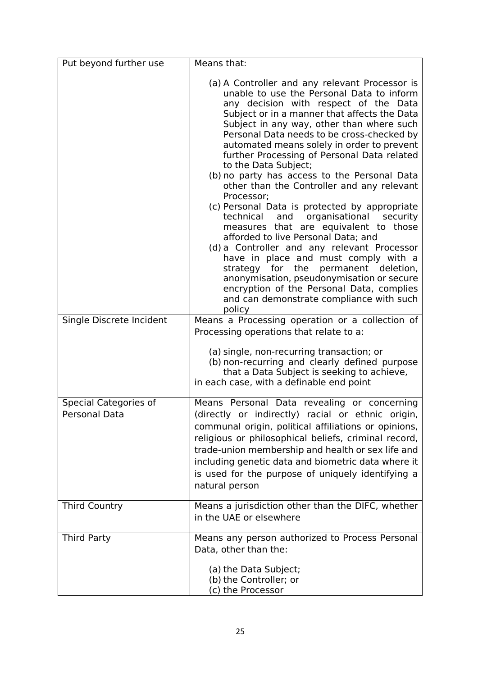| Put beyond further use   | Means that:                                                                                                                                                                                                                                                                                                                                                                                                                                                                                                                                                                                                                                                                                                                                                                                                                                                                                                                                                                        |
|--------------------------|------------------------------------------------------------------------------------------------------------------------------------------------------------------------------------------------------------------------------------------------------------------------------------------------------------------------------------------------------------------------------------------------------------------------------------------------------------------------------------------------------------------------------------------------------------------------------------------------------------------------------------------------------------------------------------------------------------------------------------------------------------------------------------------------------------------------------------------------------------------------------------------------------------------------------------------------------------------------------------|
|                          | (a) A Controller and any relevant Processor is<br>unable to use the Personal Data to inform<br>any decision with respect of the Data<br>Subject or in a manner that affects the Data<br>Subject in any way, other than where such<br>Personal Data needs to be cross-checked by<br>automated means solely in order to prevent<br>further Processing of Personal Data related<br>to the Data Subject;<br>(b) no party has access to the Personal Data<br>other than the Controller and any relevant<br>Processor;<br>(c) Personal Data is protected by appropriate<br>technical<br>and organisational security<br>measures that are equivalent to those<br>afforded to live Personal Data; and<br>(d) a Controller and any relevant Processor<br>have in place and must comply with a<br>strategy for the<br>permanent<br>deletion,<br>anonymisation, pseudonymisation or secure<br>encryption of the Personal Data, complies<br>and can demonstrate compliance with such<br>policy |
| Single Discrete Incident | Means a Processing operation or a collection of                                                                                                                                                                                                                                                                                                                                                                                                                                                                                                                                                                                                                                                                                                                                                                                                                                                                                                                                    |
|                          | Processing operations that relate to a:<br>(a) single, non-recurring transaction; or<br>(b) non-recurring and clearly defined purpose<br>that a Data Subject is seeking to achieve,<br>in each case, with a definable end point                                                                                                                                                                                                                                                                                                                                                                                                                                                                                                                                                                                                                                                                                                                                                    |
| Special Categories of    | Means Personal Data revealing or concerning                                                                                                                                                                                                                                                                                                                                                                                                                                                                                                                                                                                                                                                                                                                                                                                                                                                                                                                                        |
| Personal Data            | (directly or indirectly) racial or ethnic origin,<br>communal origin, political affiliations or opinions,<br>religious or philosophical beliefs, criminal record,<br>trade-union membership and health or sex life and<br>including genetic data and biometric data where it<br>is used for the purpose of uniquely identifying a<br>natural person                                                                                                                                                                                                                                                                                                                                                                                                                                                                                                                                                                                                                                |
| <b>Third Country</b>     | Means a jurisdiction other than the DIFC, whether<br>in the UAE or elsewhere                                                                                                                                                                                                                                                                                                                                                                                                                                                                                                                                                                                                                                                                                                                                                                                                                                                                                                       |
| <b>Third Party</b>       | Means any person authorized to Process Personal<br>Data, other than the:                                                                                                                                                                                                                                                                                                                                                                                                                                                                                                                                                                                                                                                                                                                                                                                                                                                                                                           |
|                          | (a) the Data Subject;<br>(b) the Controller; or<br>(c) the Processor                                                                                                                                                                                                                                                                                                                                                                                                                                                                                                                                                                                                                                                                                                                                                                                                                                                                                                               |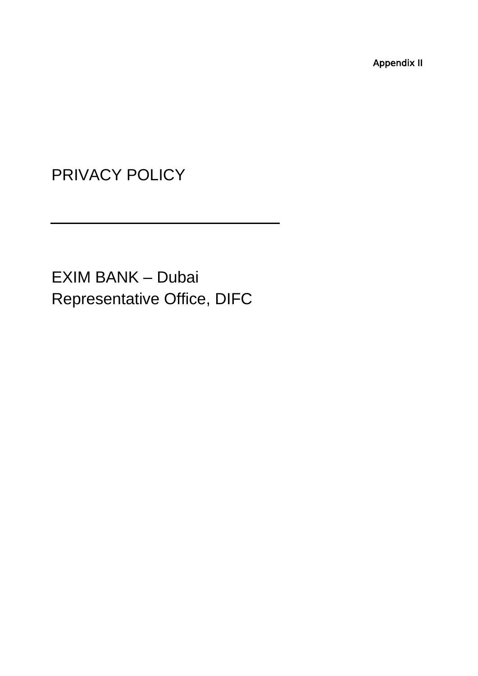Appendix II

PRIVACY POLICY

EXIM BANK – Dubai Representative Office, DIFC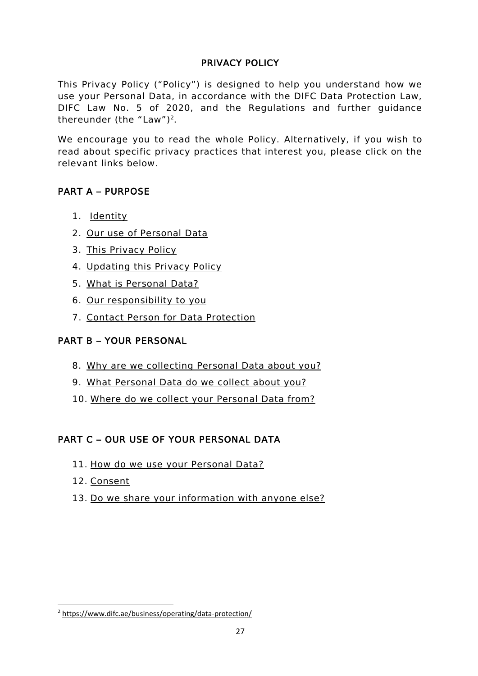## PRIVACY POLICY

This Privacy Policy ("Policy") is designed to help you understand how we use your Personal Data, in accordance with the DIFC Data Protection Law, DIFC Law No. 5 of 2020, and the Regulations and further guidance thereunder (the "Law")<sup>2</sup>.

We encourage you to read the whole Policy. Alternatively, if you wish to read about specific privacy practices that interest you, please click on the relevant links below.

# PART A – [PURPOSE](#page-28-0)

- 1. [Identity](#page-28-1)
- 2. Our use of [Personal](#page-28-2) Data
- 3. This [Privacy](#page-28-3) Policy
- 4. [Updating](#page-28-4) this Privacy Policy
- 5. What is [Personal](#page-28-5) Data?
- 6. Our [responsibility](#page-28-6) to you
- 7. [Contact](#page-28-7) Person for Data Protectio[n](#page-29-0)

## PART B – [YOUR PERSONAL](#page-29-0)

- 8. Why are we [collecting](#page-29-1) Personal Data about you?
- 9. What [Personal](#page-29-2) Data do we collect about you?
- 10. Where do we collect your [Personal](#page-30-0) Data from?

# PART C – [OUR USE OF YOUR PERSONAL DATA](#page-31-0)

- 11. How do we use your [Personal](#page-31-1) Data?
- 12. [Consent](#page-33-0)
- 13. Do we share your [information](#page-33-1) with anyone else?

<sup>2</sup> <https://www.difc.ae/business/operating/data-protection/>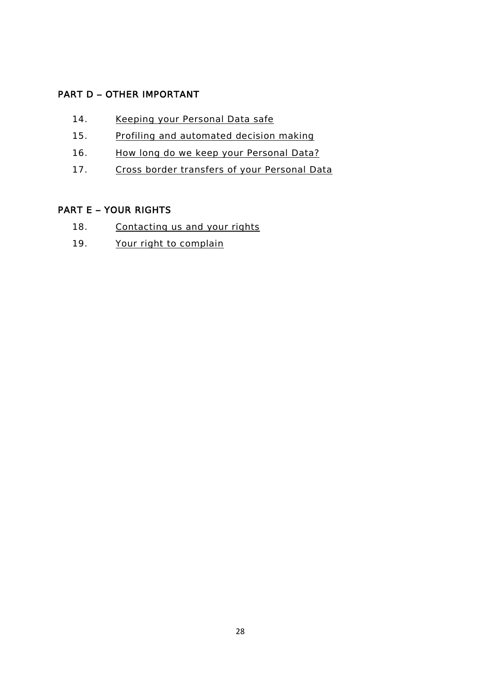# PART D – [OTHER IMPORTANT](#page-34-0)

- 14. Keeping your [Personal](#page-34-1) Data safe
- 15. Profiling and [automated](#page-34-2) decision making
- 16. How long do we keep your [Personal](#page-34-3) Data?
- 17. Cross border [transfers](#page-34-4) of your Personal Data

## PART E – [YOUR RIGHTS](#page-35-0)

- 18. [Contacting](#page-35-1) us and your rights
- 19. Your right to [complain](#page-35-2)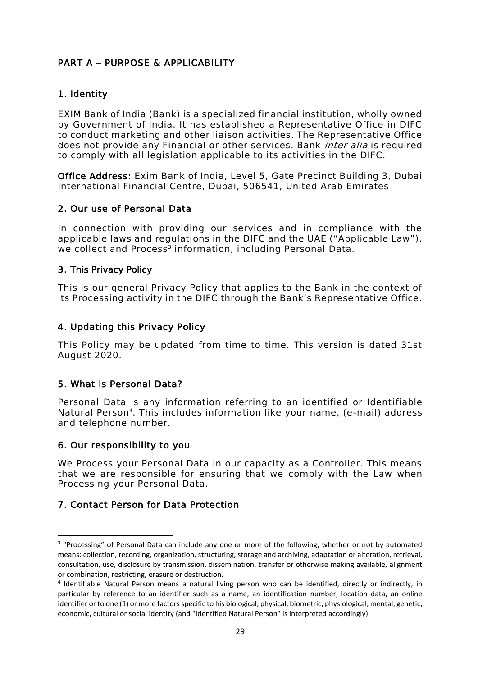# <span id="page-28-1"></span><span id="page-28-0"></span>PART A – PURPOSE & APPLICABILITY

#### 1. Identity

EXIM Bank of India (Bank) is a specialized financial institution, wholly owned by Government of India. It has established a Representative Office in DIFC to conduct marketing and other liaison activities. The Representative Office does not provide any Financial or other services. Bank *inter alia* is required to comply with all legislation applicable to its activities in the DIFC.

Office Address: Exim Bank of India, Level 5, Gate Precinct Building 3, Dubai International Financial Centre, Dubai, 506541, United Arab Emirates

#### <span id="page-28-2"></span>2. Our use of Personal Data

In connection with providing our services and in compliance with the applicable laws and regulations in the DIFC and the UAE ("Applicable Law"), we collect and Process<sup>3</sup> information, including Personal Data.

#### <span id="page-28-3"></span>3. This Privacy Policy

This is our general Privacy Policy that applies to the Bank in the context of its Processing activity in the DIFC through the Bank's Representative Office.

#### <span id="page-28-4"></span>4. Updating this Privacy Policy

This Policy may be updated from time to time. This version is dated 31st August 2020.

#### <span id="page-28-5"></span>5. What is Personal Data?

Personal Data is any information referring to an identified or Identifiable Natural Person<sup>4</sup>. This includes information like your name, (e-mail) address and telephone number.

#### <span id="page-28-6"></span>6. Our responsibility to you

We Process your Personal Data in our capacity as a Controller. This means that we are responsible for ensuring that we comply with the Law when Processing your Personal Data.

#### <span id="page-28-7"></span>7. Contact Person for Data Protection

<sup>&</sup>lt;sup>3</sup> "Processing" of Personal Data can include any one or more of the following, whether or not by automated means: collection, recording, organization, structuring, storage and archiving, adaptation or alteration, retrieval, consultation, use, disclosure by transmission, dissemination, transfer or otherwise making available, alignment or combination, restricting, erasure or destruction.

<sup>&</sup>lt;sup>4</sup> Identifiable Natural Person means a natural living person who can be identified, directly or indirectly, in particular by reference to an identifier such as a name, an identification number, location data, an online identifier or to one (1) or more factors specific to his biological, physical, biometric, physiological, mental, genetic, economic, cultural or social identity (and "Identified Natural Person" is interpreted accordingly).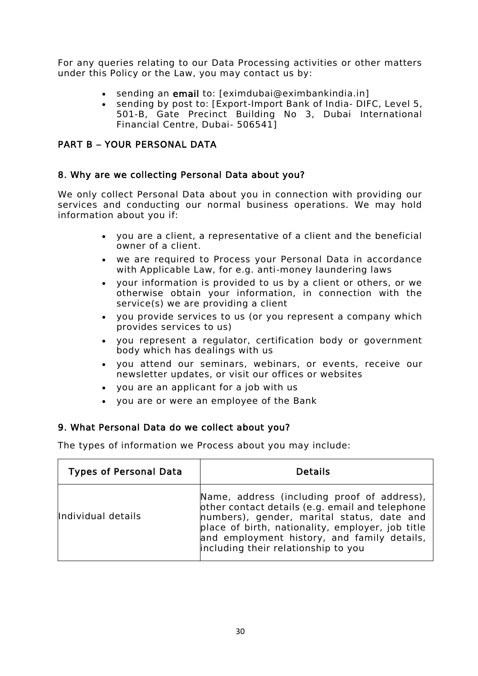For any queries relating to our Data Processing activities or other matters under this Policy or the Law, you may contact us by:

- sending an email to: [eximdubai@eximbankindia.in]
- <span id="page-29-1"></span><span id="page-29-0"></span>sending by post to: [Export-Import Bank of India- DIFC, Level 5, 501-B, Gate Precinct Building No 3, Dubai International Financial Centre, Dubai- 506541]

## PART B – YOUR PERSONAL DATA

#### 8. Why are we collecting Personal Data about you?

We only collect Personal Data about you in connection with providing our services and conducting our normal business operations. We may hold information about you if:

- you are a client, a representative of a client and the beneficial owner of a client.
- we are required to Process your Personal Data in accordance with Applicable Law, for e.g. anti-money laundering laws
- your information is provided to us by a client or others, or we otherwise obtain your information, in connection with the service(s) we are providing a client
- you provide services to us (or you represent a company which provides services to us)
- you represent a regulator, certification body or government body which has dealings with us
- you attend our seminars, webinars, or events, receive our newsletter updates, or visit our offices or websites
- you are an applicant for a job with us
- you are or were an employee of the Bank

#### <span id="page-29-2"></span>9. What Personal Data do we collect about you?

The types of information we Process about you may include:

| <b>Types of Personal Data</b> | <b>Details</b>                                                                                                                                                                                                                                                                         |
|-------------------------------|----------------------------------------------------------------------------------------------------------------------------------------------------------------------------------------------------------------------------------------------------------------------------------------|
| Individual details            | Name, address (including proof of address),<br>other contact details (e.g. email and telephone<br>numbers), gender, marital status, date and<br>place of birth, nationality, employer, job title<br>and employment history, and family details,<br>including their relationship to you |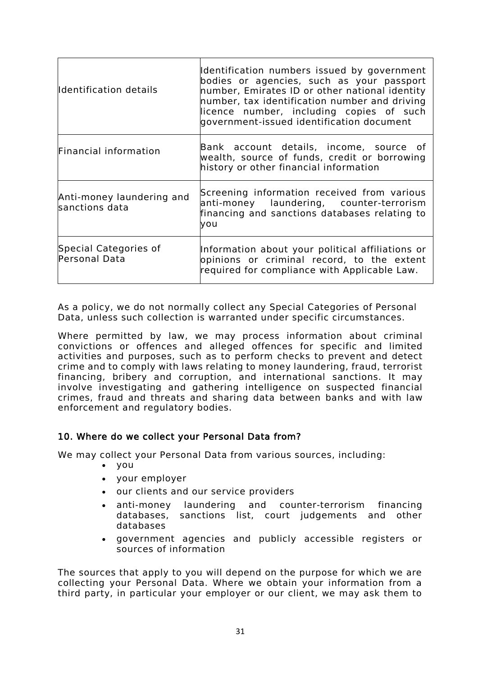| Identification details                      | Identification numbers issued by government<br>bodies or agencies, such as your passport<br>number, Emirates ID or other national identity<br>number, tax identification number and driving<br>licence number, including copies of such<br>government-issued identification document |
|---------------------------------------------|--------------------------------------------------------------------------------------------------------------------------------------------------------------------------------------------------------------------------------------------------------------------------------------|
| Financial information                       | Bank account details, income, source of<br>wealth, source of funds, credit or borrowing<br>history or other financial information                                                                                                                                                    |
| Anti-money laundering and<br>sanctions data | Screening information received from various<br>anti-money laundering, counter-terrorism<br>financing and sanctions databases relating to<br>you                                                                                                                                      |
| Special Categories of<br>Personal Data      | Information about your political affiliations or<br>opinions or criminal record, to the extent<br>required for compliance with Applicable Law.                                                                                                                                       |

<span id="page-30-0"></span>As a policy, we do not normally collect any Special Categories of Personal Data, unless such collection is warranted under specific circumstances.

Where permitted by law, we may process information about criminal convictions or offences and alleged offences for specific and limited activities and purposes, such as to perform checks to prevent and detect crime and to comply with laws relating to money laundering, fraud, terrorist financing, bribery and corruption, and international sanctions. It may involve investigating and gathering intelligence on suspected financial crimes, fraud and threats and sharing data between banks and with law enforcement and regulatory bodies.

#### 10. Where do we collect your Personal Data from?

We may collect your Personal Data from various sources, including:

- you
- your employer
- our clients and our service providers
- anti-money laundering and counter-terrorism financing databases, sanctions list, court judgements and other databases
- government agencies and publicly accessible registers or sources of information

The sources that apply to you will depend on the purpose for which we are collecting your Personal Data. Where we obtain your information from a third party, in particular your employer or our client, we may ask them to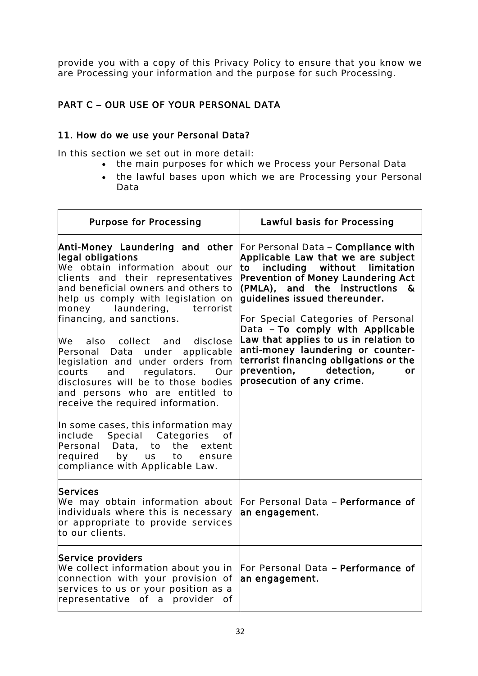provide you with a copy of this Privacy Policy to ensure that you know we are Processing your information and the purpose for such Processing.

## <span id="page-31-0"></span>PART C – OUR USE OF YOUR PERSONAL DATA

#### 11. How do we use your Personal Data?

In this section we set out in more detail:

- <span id="page-31-1"></span>• the main purposes for which we Process your Personal Data
- the lawful bases upon which we are Processing your Personal Data

| <b>Purpose for Processing</b>                                                                                                                                                                                                                                                                                                                                                                                                                                                                                                                                                                                                                                                                                               | Lawful basis for Processing                                                                                                                                                                                                                                                                                                                                                                                                                                                                           |
|-----------------------------------------------------------------------------------------------------------------------------------------------------------------------------------------------------------------------------------------------------------------------------------------------------------------------------------------------------------------------------------------------------------------------------------------------------------------------------------------------------------------------------------------------------------------------------------------------------------------------------------------------------------------------------------------------------------------------------|-------------------------------------------------------------------------------------------------------------------------------------------------------------------------------------------------------------------------------------------------------------------------------------------------------------------------------------------------------------------------------------------------------------------------------------------------------------------------------------------------------|
| Anti-Money Laundering and other<br>legal obligations<br>We obtain information about our<br>clients and their representatives<br>and beneficial owners and others to<br>help us comply with legislation on<br>laundering, terrorist<br>money<br>financing, and sanctions.<br>We also collect and disclose<br>Personal Data under applicable<br>legislation and under orders from<br>and<br>regulators.<br>courts<br>Our<br>disclosures will be to those bodies<br>and persons who are entitled to<br>receive the required information.<br>In some cases, this information may<br>include Special Categories<br>0f<br>the<br>Personal Data, to<br>extent<br>required by us<br>to<br>ensure<br>compliance with Applicable Law. | For Personal Data - Compliance with<br>Applicable Law that we are subject<br>to including without limitation<br><b>Prevention of Money Laundering Act</b><br>$\sqrt{(PMLA)}$ , and the instructions &<br>quidelines issued thereunder.<br>For Special Categories of Personal<br>Data - To comply with Applicable<br>Law that applies to us in relation to<br>anti-money laundering or counter-<br>terrorist financing obligations or the<br>prevention, detection,<br>or<br>prosecution of any crime. |
| <b>Services</b><br>We may obtain information about<br>individuals where this is necessary<br>or appropriate to provide services<br>to our clients.                                                                                                                                                                                                                                                                                                                                                                                                                                                                                                                                                                          | For Personal Data - Performance of<br>an engagement.                                                                                                                                                                                                                                                                                                                                                                                                                                                  |
| Service providers<br>We collect information about you in<br>connection with your provision of<br>services to us or your position as a<br>representative of a provider of                                                                                                                                                                                                                                                                                                                                                                                                                                                                                                                                                    | For Personal Data - Performance of<br>an engagement.                                                                                                                                                                                                                                                                                                                                                                                                                                                  |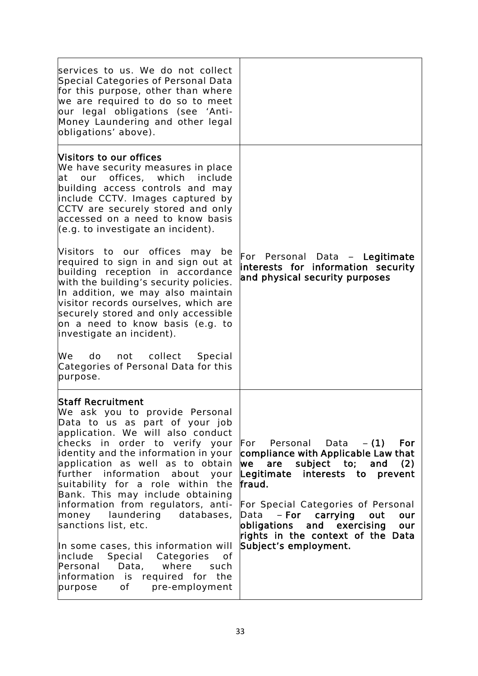| services to us. We do not collect<br>Special Categories of Personal Data<br>for this purpose, other than where<br>we are required to do so to meet<br>our legal obligations (see 'Anti-<br>Money Laundering and other legal<br>obligations' above).                                                                                                                                                                                                                                                                                                                                                                                                   |                                                                                                                                                                                                                                                                                                                                                 |
|-------------------------------------------------------------------------------------------------------------------------------------------------------------------------------------------------------------------------------------------------------------------------------------------------------------------------------------------------------------------------------------------------------------------------------------------------------------------------------------------------------------------------------------------------------------------------------------------------------------------------------------------------------|-------------------------------------------------------------------------------------------------------------------------------------------------------------------------------------------------------------------------------------------------------------------------------------------------------------------------------------------------|
| <b>Nisitors to our offices</b><br>We have security measures in place<br>at our offices, which include<br>building access controls and may<br>include CCTV. Images captured by<br>CCTV are securely stored and only<br>accessed on a need to know basis<br>(e.g. to investigate an incident).<br>Nisitors to our offices may be                                                                                                                                                                                                                                                                                                                        | For Personal Data - Legitimate                                                                                                                                                                                                                                                                                                                  |
| required to sign in and sign out at<br>building reception in accordance<br>with the building's security policies.<br>In addition, we may also maintain<br>visitor records ourselves, which are<br>securely stored and only accessible<br>on a need to know basis (e.g. to<br>investigate an incident).<br>We do not collect Special<br>Categories of Personal Data for this<br>purpose.                                                                                                                                                                                                                                                               | interests for information security<br>and physical security purposes                                                                                                                                                                                                                                                                            |
| <b>Staff Recruitment</b><br>We ask you to provide Personal<br>Data to us as part of your job<br>application. We will also conduct<br>checks in order to verify your<br>identity and the information in your<br>application as well as to obtain<br>further information<br>about your<br>suitability for a role within the<br>Bank. This may include obtaining<br>information from regulators, anti-<br>money laundering databases,<br>sanctions list, etc.<br>In some cases, this information will<br>Special Categories<br>include<br>0f<br>Personal<br>Data,<br>where<br>such<br>information is required for the<br>of<br>pre-employment<br>purpose | For Personal Data $-$ (1)<br>For<br>compliance with Applicable Law that<br>are subject to;<br>we<br>and<br>(2)<br>Legitimate interests to prevent<br>fraud.<br>For Special Categories of Personal<br>- For carrying<br>Data<br>out<br>our<br>and exercising<br>obligations<br>our<br>rights in the context of the Data<br>Subject's employment. |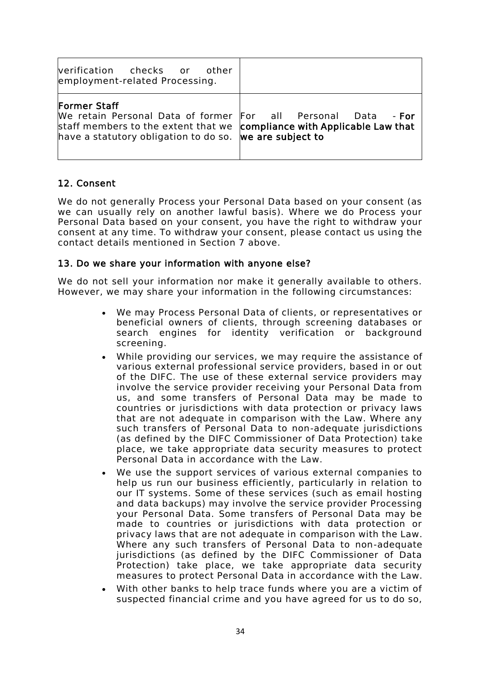| verification checks or other<br>employment-related Processing.                                                                                                                                                      |  |
|---------------------------------------------------------------------------------------------------------------------------------------------------------------------------------------------------------------------|--|
| Former Staff<br>We retain Personal Data of former For all Personal Data - For<br>staff members to the extent that we compliance with Applicable Law that<br>have a statutory obligation to do so. We are subject to |  |

## <span id="page-33-0"></span>12. Consent

We do not generally Process your Personal Data based on your consent (as we can usually rely on another lawful basis). Where we do Process your Personal Data based on your consent, you have the right to withdraw your consent at any time. To withdraw your consent, please contact us using the contact details mentioned in Section 7 above.

#### <span id="page-33-1"></span>13. Do we share your information with anyone else?

We do not sell your information nor make it generally available to others. However, we may share your information in the following circumstances:

- We may Process Personal Data of clients, or representatives or beneficial owners of clients, through screening databases or search engines for identity verification or background screening.
- While providing our services, we may require the assistance of various external professional service providers, based in or out of the DIFC. The use of these external service providers may involve the service provider receiving your Personal Data from us, and some transfers of Personal Data may be made to countries or jurisdictions with data protection or privacy laws that are not adequate in comparison with the Law. Where any such transfers of Personal Data to non-adequate jurisdictions (as defined by the DIFC Commissioner of Data Protection) take place, we take appropriate data security measures to protect Personal Data in accordance with the Law.
- We use the support services of various external companies to help us run our business efficiently, particularly in relation to our IT systems. Some of these services (such as email hosting and data backups) may involve the service provider Processing your Personal Data. Some transfers of Personal Data may be made to countries or jurisdictions with data protection or privacy laws that are not adequate in comparison with the Law. Where any such transfers of Personal Data to non-adequate jurisdictions (as defined by the DIFC Commissioner of Data Protection) take place, we take appropriate data security measures to protect Personal Data in accordance with the Law.
- With other banks to help trace funds where you are a victim of suspected financial crime and you have agreed for us to do so,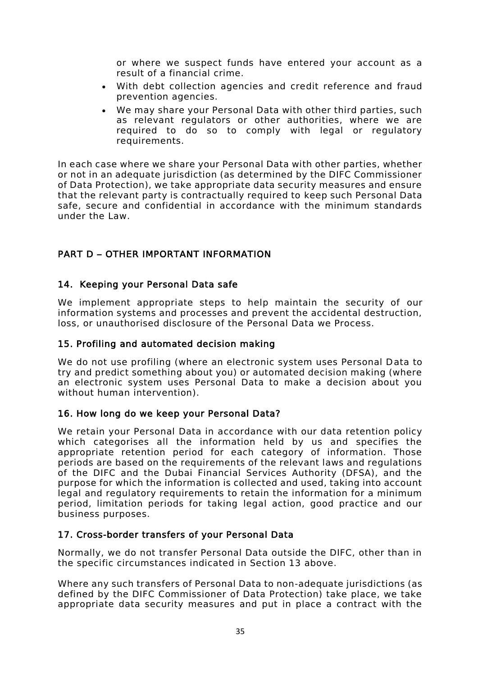or where we suspect funds have entered your account as a result of a financial crime.

- With debt collection agencies and credit reference and fraud prevention agencies.
- We may share your Personal Data with other third parties, such as relevant regulators or other authorities, where we are required to do so to comply with legal or regulatory requirements.

In each case where we share your Personal Data with other parties, whether or not in an adequate jurisdiction (as determined by the DIFC Commissioner of Data Protection), we take appropriate data security measures and ensure that the relevant party is contractually required to keep such Personal Data safe, secure and confidential in accordance with the minimum standards under the Law.

# <span id="page-34-1"></span><span id="page-34-0"></span>PART D – OTHER IMPORTANT INFORMATION

#### 14. Keeping your Personal Data safe

We implement appropriate steps to help maintain the security of our information systems and processes and prevent the accidental destruction, loss, or unauthorised disclosure of the Personal Data we Process.

#### <span id="page-34-2"></span>15. Profiling and automated decision making

We do not use profiling (where an electronic system uses Personal Data to try and predict something about you) or automated decision making (where an electronic system uses Personal Data to make a decision about you without human intervention).

#### <span id="page-34-3"></span>16. How long do we keep your Personal Data?

We retain your Personal Data in accordance with our data retention policy which categorises all the information held by us and specifies the appropriate retention period for each category of information. Those periods are based on the requirements of the relevant laws and regulations of the DIFC and the Dubai Financial Services Authority (DFSA), and the purpose for which the information is collected and used, taking into account legal and regulatory requirements to retain the information for a minimum period, limitation periods for taking legal action, good practice and our business purposes.

## <span id="page-34-4"></span>17. Cross-border transfers of your Personal Data

Normally, we do not transfer Personal Data outside the DIFC, other than in the specific circumstances indicated in Section 13 above.

Where any such transfers of Personal Data to non-adequate jurisdictions (as defined by the DIFC Commissioner of Data Protection) take place, we take appropriate data security measures and put in place a contract with the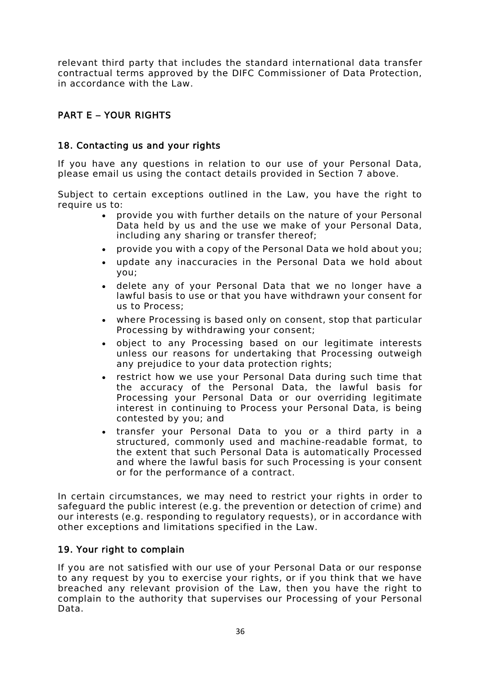relevant third party that includes the standard international data transfer contractual terms approved by the DIFC Commissioner of Data Protection, in accordance with the Law.

# <span id="page-35-1"></span><span id="page-35-0"></span>PART E – YOUR RIGHTS

# 18. Contacting us and your rights

If you have any questions in relation to our use of your Personal Data, please email us using the contact details provided in Section 7 above.

Subject to certain exceptions outlined in the Law, you have the right to require us to:

- provide you with further details on the nature of your Personal Data held by us and the use we make of your Personal Data, including any sharing or transfer thereof;
- provide you with a copy of the Personal Data we hold about you;
- update any inaccuracies in the Personal Data we hold about you;
- delete any of your Personal Data that we no longer have a lawful basis to use or that you have withdrawn your consent for us to Process;
- where Processing is based only on consent, stop that particular Processing by withdrawing your consent;
- object to any Processing based on our legitimate interests unless our reasons for undertaking that Processing outweigh any prejudice to your data protection rights;
- restrict how we use your Personal Data during such time that the accuracy of the Personal Data, the lawful basis for Processing your Personal Data or our overriding legitimate interest in continuing to Process your Personal Data, is being contested by you; and
- transfer your Personal Data to you or a third party in a structured, commonly used and machine-readable format, to the extent that such Personal Data is automatically Processed and where the lawful basis for such Processing is your consent or for the performance of a contract.

In certain circumstances, we may need to restrict your rights in order to safeguard the public interest (e.g. the prevention or detection of crime) and our interests (e.g. responding to regulatory requests), or in accordance with other exceptions and limitations specified in the Law.

## <span id="page-35-2"></span>19. Your right to complain

If you are not satisfied with our use of your Personal Data or our response to any request by you to exercise your rights, or if you think that we have breached any relevant provision of the Law, then you have the right to complain to the authority that supervises our Processing of your Personal Data.